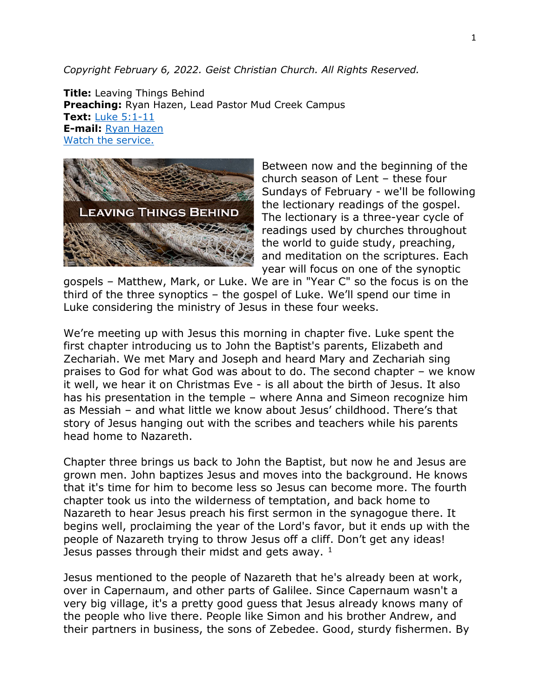*Copyright February 6, 2022. Geist Christian Church. All Rights Reserved.*

**Title:** Leaving Things Behind **Preaching:** Ryan Hazen, Lead Pastor Mud Creek Campus **Text:** Luke [5:1-11](https://www.biblegateway.com/passage/?search=Luke+5%3A1-11&version=NRSV) **E-mail:** [Ryan Hazen](mailto:ryan.hazen@geistchristian.org) [Watch the service.](https://youtu.be/vhgdS7vthJ8)



Between now and the beginning of the church season of Lent – these four Sundays of February - we'll be following the lectionary readings of the gospel. The lectionary is a three-year cycle of readings used by churches throughout the world to guide study, preaching, and meditation on the scriptures. Each year will focus on one of the synoptic

gospels – Matthew, Mark, or Luke. We are in "Year C" so the focus is on the third of the three synoptics – the gospel of Luke. We'll spend our time in Luke considering the ministry of Jesus in these four weeks.

We're meeting up with Jesus this morning in chapter five. Luke spent the first chapter introducing us to John the Baptist's parents, Elizabeth and Zechariah. We met Mary and Joseph and heard Mary and Zechariah sing praises to God for what God was about to do. The second chapter – we know it well, we hear it on Christmas Eve - is all about the birth of Jesus. It also has his presentation in the temple – where Anna and Simeon recognize him as Messiah – and what little we know about Jesus' childhood. There's that story of Jesus hanging out with the scribes and teachers while his parents head home to Nazareth.

Chapter three brings us back to John the Baptist, but now he and Jesus are grown men. John baptizes Jesus and moves into the background. He knows that it's time for him to become less so Jesus can become more. The fourth chapter took us into the wilderness of temptation, and back home to Nazareth to hear Jesus preach his first sermon in the synagogue there. It begins well, proclaiming the year of the Lord's favor, but it ends up with the people of Nazareth trying to throw Jesus off a cliff. Don't get any ideas! Jesus passes through their midst and gets away.  $1$ 

Jesus mentioned to the people of Nazareth that he's already been at work, over in Capernaum, and other parts of Galilee. Since Capernaum wasn't a very big village, it's a pretty good guess that Jesus already knows many of the people who live there. People like Simon and his brother Andrew, and their partners in business, the sons of Zebedee. Good, sturdy fishermen. By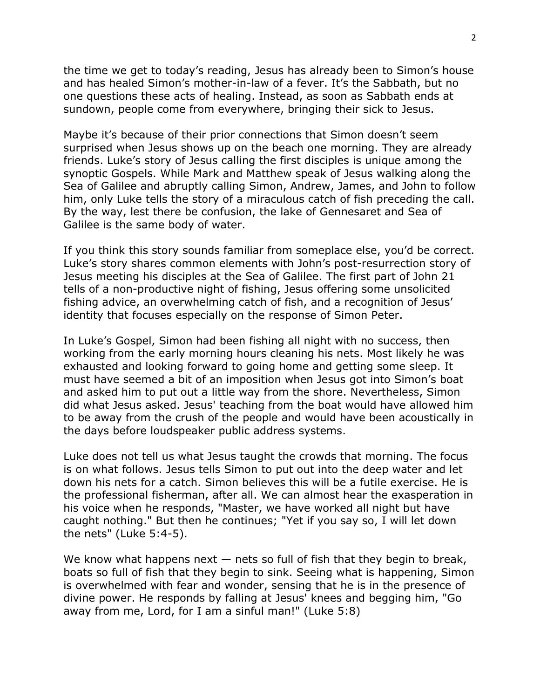the time we get to today's reading, Jesus has already been to Simon's house and has healed Simon's mother-in-law of a fever. It's the Sabbath, but no one questions these acts of healing. Instead, as soon as Sabbath ends at sundown, people come from everywhere, bringing their sick to Jesus.

Maybe it's because of their prior connections that Simon doesn't seem surprised when Jesus shows up on the beach one morning. They are already friends. Luke's story of Jesus calling the first disciples is unique among the synoptic Gospels. While Mark and Matthew speak of Jesus walking along the Sea of Galilee and abruptly calling Simon, Andrew, James, and John to follow him, only Luke tells the story of a miraculous catch of fish preceding the call. By the way, lest there be confusion, the lake of Gennesaret and Sea of Galilee is the same body of water.

If you think this story sounds familiar from someplace else, you'd be correct. Luke's story shares common elements with John's post-resurrection story of Jesus meeting his disciples at the Sea of Galilee. The first part of John 21 tells of a non-productive night of fishing, Jesus offering some unsolicited fishing advice, an overwhelming catch of fish, and a recognition of Jesus' identity that focuses especially on the response of Simon Peter.

In Luke's Gospel, Simon had been fishing all night with no success, then working from the early morning hours cleaning his nets. Most likely he was exhausted and looking forward to going home and getting some sleep. It must have seemed a bit of an imposition when Jesus got into Simon's boat and asked him to put out a little way from the shore. Nevertheless, Simon did what Jesus asked. Jesus' teaching from the boat would have allowed him to be away from the crush of the people and would have been acoustically in the days before loudspeaker public address systems.

Luke does not tell us what Jesus taught the crowds that morning. The focus is on what follows. Jesus tells Simon to put out into the deep water and let down his nets for a catch. Simon believes this will be a futile exercise. He is the professional fisherman, after all. We can almost hear the exasperation in his voice when he responds, "Master, we have worked all night but have caught nothing." But then he continues; "Yet if you say so, I will let down the nets" (Luke 5:4-5).

We know what happens next  $-$  nets so full of fish that they begin to break, boats so full of fish that they begin to sink. Seeing what is happening, Simon is overwhelmed with fear and wonder, sensing that he is in the presence of divine power. He responds by falling at Jesus' knees and begging him, "Go away from me, Lord, for I am a sinful man!" (Luke 5:8)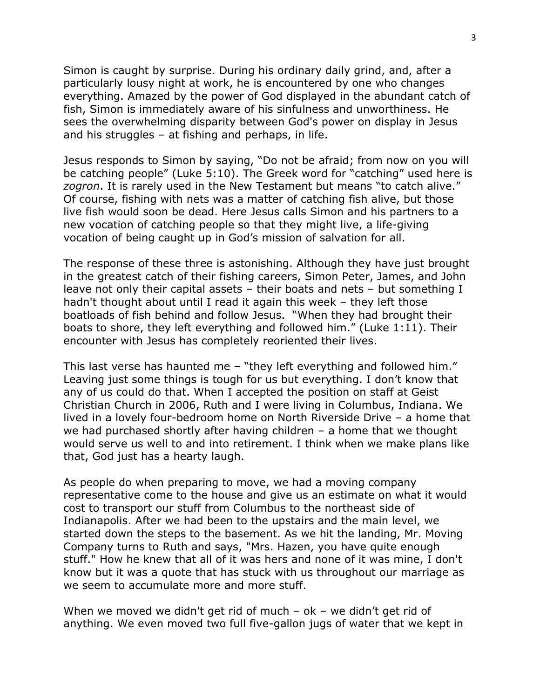Simon is caught by surprise. During his ordinary daily grind, and, after a particularly lousy night at work, he is encountered by one who changes everything. Amazed by the power of God displayed in the abundant catch of fish, Simon is immediately aware of his sinfulness and unworthiness. He sees the overwhelming disparity between God's power on display in Jesus and his struggles – at fishing and perhaps, in life.

Jesus responds to Simon by saying, "Do not be afraid; from now on you will be catching people" (Luke 5:10). The Greek word for "catching" used here is *zogron*. It is rarely used in the New Testament but means "to catch alive." Of course, fishing with nets was a matter of catching fish alive, but those live fish would soon be dead. Here Jesus calls Simon and his partners to a new vocation of catching people so that they might live, a life-giving vocation of being caught up in God's mission of salvation for all.

The response of these three is astonishing. Although they have just brought in the greatest catch of their fishing careers, Simon Peter, James, and John leave not only their capital assets – their boats and nets – but something I hadn't thought about until I read it again this week – they left those boatloads of fish behind and follow Jesus. "When they had brought their boats to shore, they left everything and followed him." (Luke 1:11). Their encounter with Jesus has completely reoriented their lives.

This last verse has haunted me – "they left everything and followed him." Leaving just some things is tough for us but everything. I don't know that any of us could do that. When I accepted the position on staff at Geist Christian Church in 2006, Ruth and I were living in Columbus, Indiana. We lived in a lovely four-bedroom home on North Riverside Drive – a home that we had purchased shortly after having children – a home that we thought would serve us well to and into retirement. I think when we make plans like that, God just has a hearty laugh.

<span id="page-2-1"></span><span id="page-2-0"></span>As people do when preparing to move, we had a moving company representative come to the house and give us an estimate on what it would cost to transport our stuff from Columbus to the northeast side of Indianapolis. After we had been to the upstairs and the main level, we started down the steps to the basement. As we hit the landing, Mr. Moving Company turns to Ruth and says, "Mrs. Hazen, you have quite enough stuff." How he knew that all of it was hers and none of it was mine, I don't know but it was a quote that has stuck with us throughout our marriage as we seem to accumulate more and more stuff.

When we moved we didn't get rid of much – ok – we didn't get rid of anything. We even moved two full five-gallon jugs of water that we kept in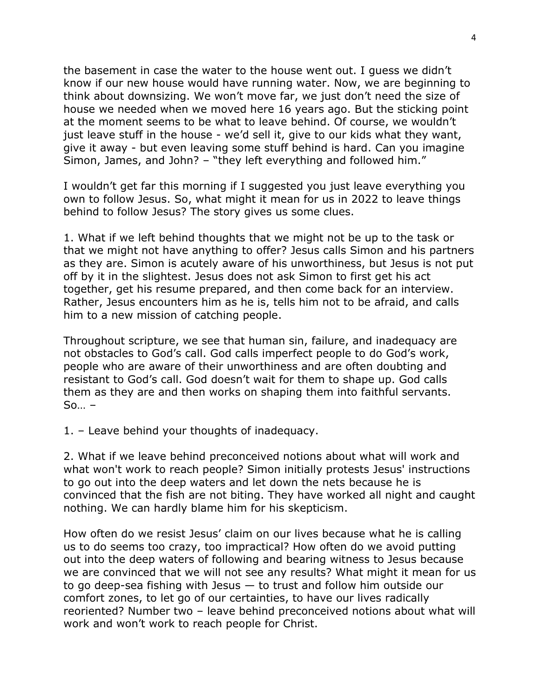the basement in case the water to the house went out. I guess we didn't know if our new house would have running water. Now, we are beginning to think about downsizing. We won't move far, we just don't need the size of house we needed when we moved here 16 years ago. But the sticking point at the moment seems to be what to leave behind. Of course, we wouldn't just leave stuff in the house - we'd sell it, give to our kids what they want, give it away - but even leaving some stuff behind is hard. Can you imagine Simon, James, and John? – "they left everything and followed him."

I wouldn't get far this morning if I suggested you just leave everything you own to follow Jesus. So, what might it mean for us in 2022 to leave things behind to follow Jesus? The story gives us some clues.

1. What if we left behind thoughts that we might not be up to the task or that we might not have anything to offer? Jesus calls Simon and his partners as they are. Simon is acutely aware of his unworthiness, but Jesus is not put off by it in the slightest. Jesus does not ask Simon to first get his act together, get his resume prepared, and then come back for an interview. Rather, Jesus encounters him as he is, tells him not to be afraid, and calls him to a new mission of catching people.

Throughout scripture, we see that human sin, failure, and inadequacy are not obstacles to God's call. God calls imperfect people to do God's work, people who are aware of their unworthiness and are often doubting and resistant to God's call. God doesn't wait for them to shape up. God calls them as they are and then works on shaping them into faithful servants.  $So... -$ 

1. – Leave behind your thoughts of inadequacy.

2. What if we leave behind preconceived notions about what will work and what won't work to reach people? Simon initially protests Jesus' instructions to go out into the deep waters and let down the nets because he is convinced that the fish are not biting. They have worked all night and caught nothing. We can hardly blame him for his skepticism.

How often do we resist Jesus' claim on our lives because what he is calling us to do seems too crazy, too impractical? How often do we avoid putting out into the deep waters of following and bearing witness to Jesus because we are convinced that we will not see any results? What might it mean for us to go deep-sea fishing with Jesus — to trust and follow him outside our comfort zones, to let go of our certainties, to have our lives radically reoriented? Number two – leave behind preconceived notions about what will work and won't work to reach people for Christ.